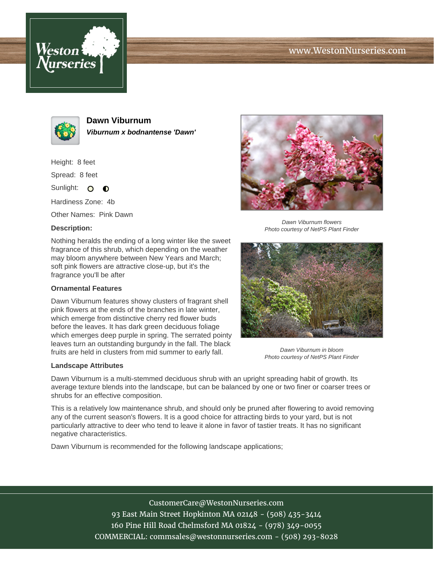





**Dawn Viburnum Viburnum x bodnantense 'Dawn'**

Height: 8 feet

Spread: 8 feet

Sunlight: O  $\bullet$ 

Hardiness Zone: 4b

Other Names: Pink Dawn

## **Description:**

Nothing heralds the ending of a long winter like the sweet fragrance of this shrub, which depending on the weather may bloom anywhere between New Years and March; soft pink flowers are attractive close-up, but it's the fragrance you'll be after

## **Ornamental Features**

Dawn Viburnum features showy clusters of fragrant shell pink flowers at the ends of the branches in late winter, which emerge from distinctive cherry red flower buds before the leaves. It has dark green deciduous foliage which emerges deep purple in spring. The serrated pointy leaves turn an outstanding burgundy in the fall. The black fruits are held in clusters from mid summer to early fall.

## **Landscape Attributes**



Dawn Viburnum flowers Photo courtesy of NetPS Plant Finder



Dawn Viburnum in bloom Photo courtesy of NetPS Plant Finder

Dawn Viburnum is a multi-stemmed deciduous shrub with an upright spreading habit of growth. Its average texture blends into the landscape, but can be balanced by one or two finer or coarser trees or shrubs for an effective composition.

This is a relatively low maintenance shrub, and should only be pruned after flowering to avoid removing any of the current season's flowers. It is a good choice for attracting birds to your yard, but is not particularly attractive to deer who tend to leave it alone in favor of tastier treats. It has no significant negative characteristics.

Dawn Viburnum is recommended for the following landscape applications;

CustomerCare@WestonNurseries.com 93 East Main Street Hopkinton MA 02148 - (508) 435-3414 160 Pine Hill Road Chelmsford MA 01824 - (978) 349-0055 COMMERCIAL: commsales@westonnurseries.com - (508) 293-8028